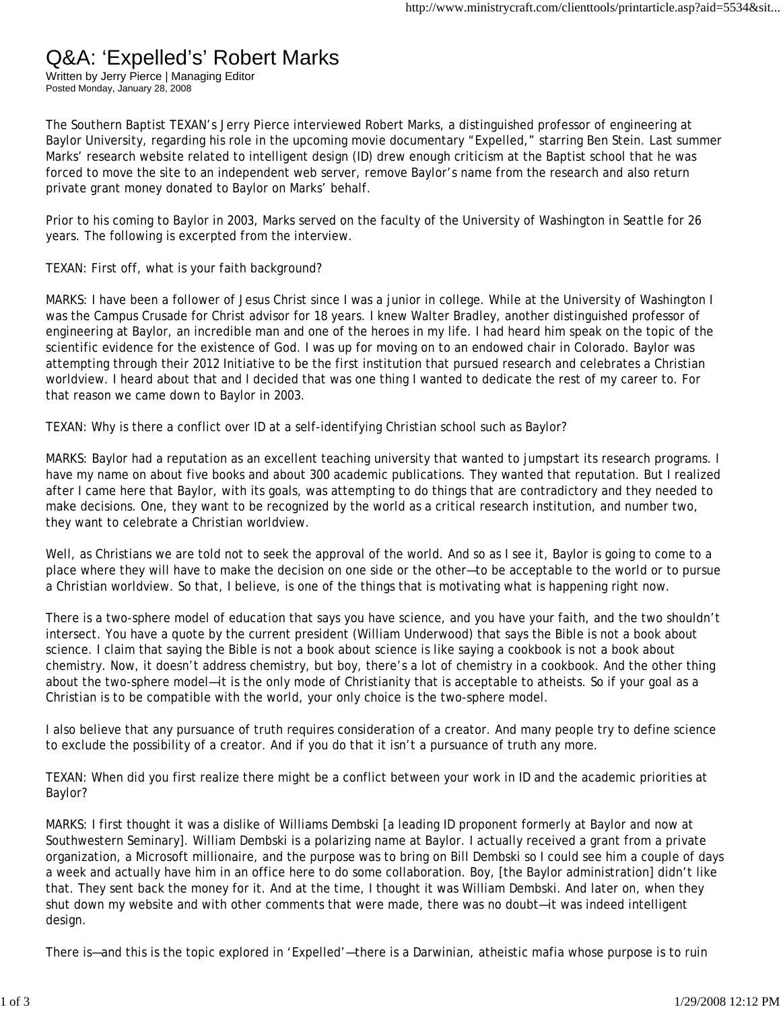## Q&A: 'Expelled's' Robert Marks

Written by Jerry Pierce | Managing Editor Posted Monday, January 28, 2008

The Southern Baptist TEXAN's Jerry Pierce interviewed Robert Marks, a distinguished professor of engineering at Baylor University, regarding his role in the upcoming movie documentary "Expelled," starring Ben Stein. Last summer Marks' research website related to intelligent design (ID) drew enough criticism at the Baptist school that he was forced to move the site to an independent web server, remove Baylor's name from the research and also return private grant money donated to Baylor on Marks' behalf.

Prior to his coming to Baylor in 2003, Marks served on the faculty of the University of Washington in Seattle for 26 years. The following is excerpted from the interview.

TEXAN: First off, what is your faith background?

MARKS: I have been a follower of Jesus Christ since I was a junior in college. While at the University of Washington I was the Campus Crusade for Christ advisor for 18 years. I knew Walter Bradley, another distinguished professor of engineering at Baylor, an incredible man and one of the heroes in my life. I had heard him speak on the topic of the scientific evidence for the existence of God. I was up for moving on to an endowed chair in Colorado. Baylor was attempting through their 2012 Initiative to be the first institution that pursued research and celebrates a Christian worldview. I heard about that and I decided that was one thing I wanted to dedicate the rest of my career to. For that reason we came down to Baylor in 2003.

TEXAN: Why is there a conflict over ID at a self-identifying Christian school such as Baylor?

MARKS: Baylor had a reputation as an excellent teaching university that wanted to jumpstart its research programs. I have my name on about five books and about 300 academic publications. They wanted that reputation. But I realized after I came here that Baylor, with its goals, was attempting to do things that are contradictory and they needed to make decisions. One, they want to be recognized by the world as a critical research institution, and number two, they want to celebrate a Christian worldview.

Well, as Christians we are told not to seek the approval of the world. And so as I see it, Baylor is going to come to a place where they will have to make the decision on one side or the other—to be acceptable to the world or to pursue a Christian worldview. So that, I believe, is one of the things that is motivating what is happening right now.

There is a two-sphere model of education that says you have science, and you have your faith, and the two shouldn't intersect. You have a quote by the current president (William Underwood) that says the Bible is not a book about science. I claim that saying the Bible is not a book about science is like saying a cookbook is not a book about chemistry. Now, it doesn't address chemistry, but boy, there's a lot of chemistry in a cookbook. And the other thing about the two-sphere model—it is the only mode of Christianity that is acceptable to atheists. So if your goal as a Christian is to be compatible with the world, your only choice is the two-sphere model.

I also believe that any pursuance of truth requires consideration of a creator. And many people try to define science to exclude the possibility of a creator. And if you do that it isn't a pursuance of truth any more.

TEXAN: When did you first realize there might be a conflict between your work in ID and the academic priorities at Baylor?

MARKS: I first thought it was a dislike of Williams Dembski [a leading ID proponent formerly at Baylor and now at Southwestern Seminary]. William Dembski is a polarizing name at Baylor. I actually received a grant from a private organization, a Microsoft millionaire, and the purpose was to bring on Bill Dembski so I could see him a couple of days a week and actually have him in an office here to do some collaboration. Boy, [the Baylor administration] didn't like that. They sent back the money for it. And at the time, I thought it was William Dembski. And later on, when they shut down my website and with other comments that were made, there was no doubt—it was indeed intelligent design.

There is—and this is the topic explored in 'Expelled'—there is a Darwinian, atheistic mafia whose purpose is to ruin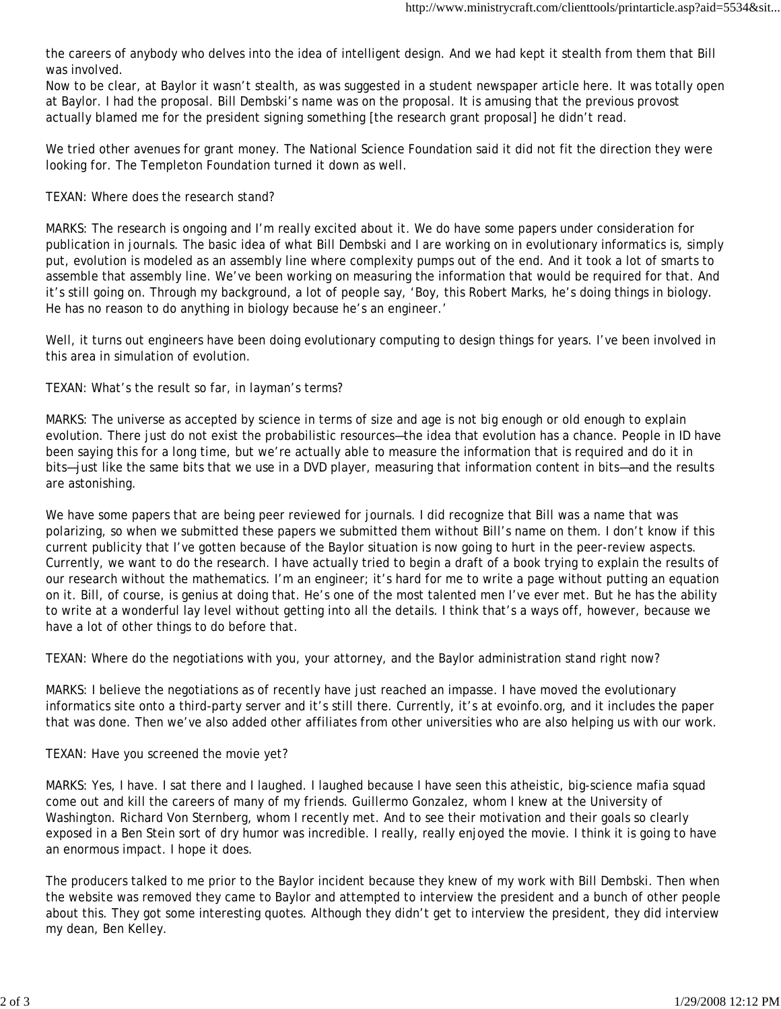the careers of anybody who delves into the idea of intelligent design. And we had kept it stealth from them that Bill was involved.

Now to be clear, at Baylor it wasn't stealth, as was suggested in a student newspaper article here. It was totally open at Baylor. I had the proposal. Bill Dembski's name was on the proposal. It is amusing that the previous provost actually blamed me for the president signing something [the research grant proposal] he didn't read.

We tried other avenues for grant money. The National Science Foundation said it did not fit the direction they were looking for. The Templeton Foundation turned it down as well.

## TEXAN: Where does the research stand?

MARKS: The research is ongoing and I'm really excited about it. We do have some papers under consideration for publication in journals. The basic idea of what Bill Dembski and I are working on in evolutionary informatics is, simply put, evolution is modeled as an assembly line where complexity pumps out of the end. And it took a lot of smarts to assemble that assembly line. We've been working on measuring the information that would be required for that. And it's still going on. Through my background, a lot of people say, 'Boy, this Robert Marks, he's doing things in biology. He has no reason to do anything in biology because he's an engineer.'

Well, it turns out engineers have been doing evolutionary computing to design things for years. I've been involved in this area in simulation of evolution.

TEXAN: What's the result so far, in layman's terms?

MARKS: The universe as accepted by science in terms of size and age is not big enough or old enough to explain evolution. There just do not exist the probabilistic resources—the idea that evolution has a chance. People in ID have been saying this for a long time, but we're actually able to measure the information that is required and do it in bits—just like the same bits that we use in a DVD player, measuring that information content in bits—and the results are astonishing.

We have some papers that are being peer reviewed for journals. I did recognize that Bill was a name that was polarizing, so when we submitted these papers we submitted them without Bill's name on them. I don't know if this current publicity that I've gotten because of the Baylor situation is now going to hurt in the peer-review aspects. Currently, we want to do the research. I have actually tried to begin a draft of a book trying to explain the results of our research without the mathematics. I'm an engineer; it's hard for me to write a page without putting an equation on it. Bill, of course, is genius at doing that. He's one of the most talented men I've ever met. But he has the ability to write at a wonderful lay level without getting into all the details. I think that's a ways off, however, because we have a lot of other things to do before that.

TEXAN: Where do the negotiations with you, your attorney, and the Baylor administration stand right now?

MARKS: I believe the negotiations as of recently have just reached an impasse. I have moved the evolutionary informatics site onto a third-party server and it's still there. Currently, it's at evoinfo.org, and it includes the paper that was done. Then we've also added other affiliates from other universities who are also helping us with our work.

TEXAN: Have you screened the movie yet?

MARKS: Yes, I have. I sat there and I laughed. I laughed because I have seen this atheistic, big-science mafia squad come out and kill the careers of many of my friends. Guillermo Gonzalez, whom I knew at the University of Washington. Richard Von Sternberg, whom I recently met. And to see their motivation and their goals so clearly exposed in a Ben Stein sort of dry humor was incredible. I really, really enjoyed the movie. I think it is going to have an enormous impact. I hope it does.

The producers talked to me prior to the Baylor incident because they knew of my work with Bill Dembski. Then when the website was removed they came to Baylor and attempted to interview the president and a bunch of other people about this. They got some interesting quotes. Although they didn't get to interview the president, they did interview my dean, Ben Kelley.